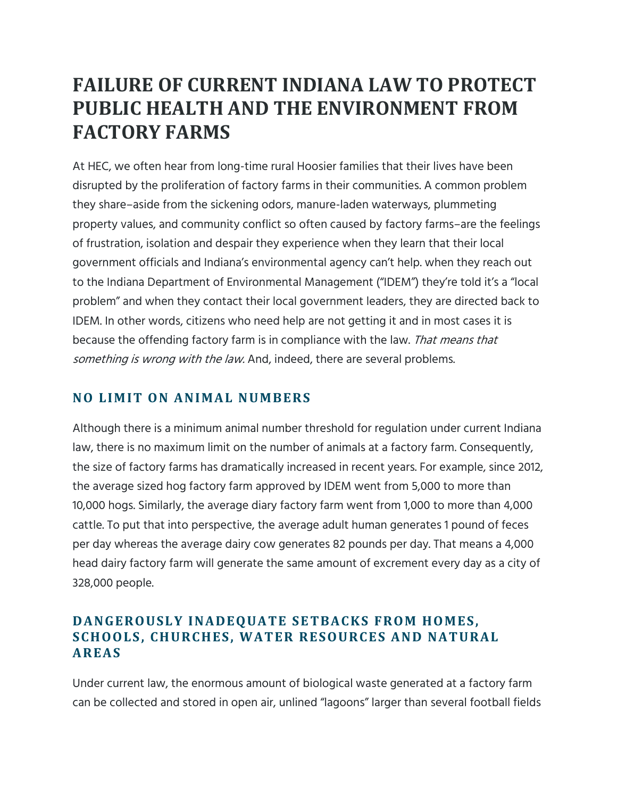# **FAILURE OF CURRENT INDIANA LAW TO PROTECT PUBLIC HEALTH AND THE ENVIRONMENT FROM FACTORY FARMS**

At HEC, we often hear from long-time rural Hoosier families that their lives have been disrupted by the proliferation of factory farms in their communities. A common problem they share–aside from the sickening odors, manure-laden waterways, plummeting property values, and community conflict so often caused by factory farms–are the feelings of frustration, isolation and despair they experience when they learn that their local government officials and Indiana's environmental agency can't help. when they reach out to the Indiana Department of Environmental Management ("IDEM") they're told it's a "local problem" and when they contact their local government leaders, they are directed back to IDEM. In other words, citizens who need help are not getting it and in most cases it is because the offending factory farm is in compliance with the law. That means that something is wrong with the law. And, indeed, there are several problems.

### **NO LIMIT ON ANIMAL NUMBERS**

Although there is a minimum animal number threshold for regulation under current Indiana law, there is no maximum limit on the number of animals at a factory farm. Consequently, the size of factory farms has dramatically increased in recent years. For example, since 2012, the average sized hog factory farm approved by IDEM went from 5,000 to more than 10,000 hogs. Similarly, the average diary factory farm went from 1,000 to more than 4,000 cattle. To put that into perspective, the average adult human generates 1 pound of feces per day whereas the average dairy cow generates 82 pounds per day. That means a 4,000 head dairy factory farm will generate the same amount of excrement every day as a city of 328,000 people.

### **DANGEROUSLY INADEQUATE SETBACKS FROM HOMES,** SCHOOLS, CHURCHES, WATER RESOURCES AND NATURAL **AREAS**

Under current law, the enormous amount of biological waste generated at a factory farm can be collected and stored in open air, unlined "lagoons" larger than several football fields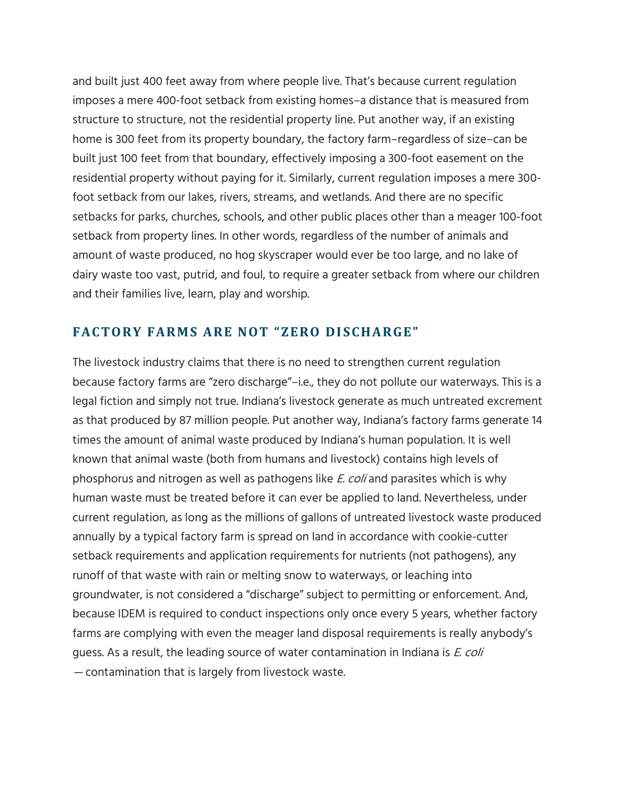and built just 400 feet away from where people live. That's because current regulation imposes a mere 400-foot setback from existing homes–a distance that is measured from structure to structure, not the residential property line. Put another way, if an existing home is 300 feet from its property boundary, the factory farm–regardless of size–can be built just 100 feet from that boundary, effectively imposing a 300-foot easement on the residential property without paying for it. Similarly, current regulation imposes a mere 300 foot setback from our lakes, rivers, streams, and wetlands. And there are no specific setbacks for parks, churches, schools, and other public places other than a meager 100-foot setback from property lines. In other words, regardless of the number of animals and amount of waste produced, no hog skyscraper would ever be too large, and no lake of dairy waste too vast, putrid, and foul, to require a greater setback from where our children and their families live, learn, play and worship.

#### **FAC TORY FARMS ARE NOT "ZERO DI SCHARGE"**

The livestock industry claims that there is no need to strengthen current regulation because factory farms are "zero discharge"–i.e., they do not pollute our waterways. This is a legal fiction and simply not true. Indiana's livestock generate as much untreated excrement as that produced by 87 million people. Put another way, Indiana's factory farms generate 14 times the amount of animal waste produced by Indiana's human population. It is well known that animal waste (both from humans and livestock) contains high levels of phosphorus and nitrogen as well as pathogens like *E. coli* and parasites which is why human waste must be treated before it can ever be applied to land. Nevertheless, under current regulation, as long as the millions of gallons of untreated livestock waste produced annually by a typical factory farm is spread on land in accordance with cookie-cutter setback requirements and application requirements for nutrients (not pathogens), any runoff of that waste with rain or melting snow to waterways, or leaching into groundwater, is not considered a "discharge" subject to permitting or enforcement. And, because IDEM is required to conduct inspections only once every 5 years, whether factory farms are complying with even the meager land disposal requirements is really anybody's guess. As a result, the leading source of water contamination in Indiana is E. coli — contamination that is largely from livestock waste.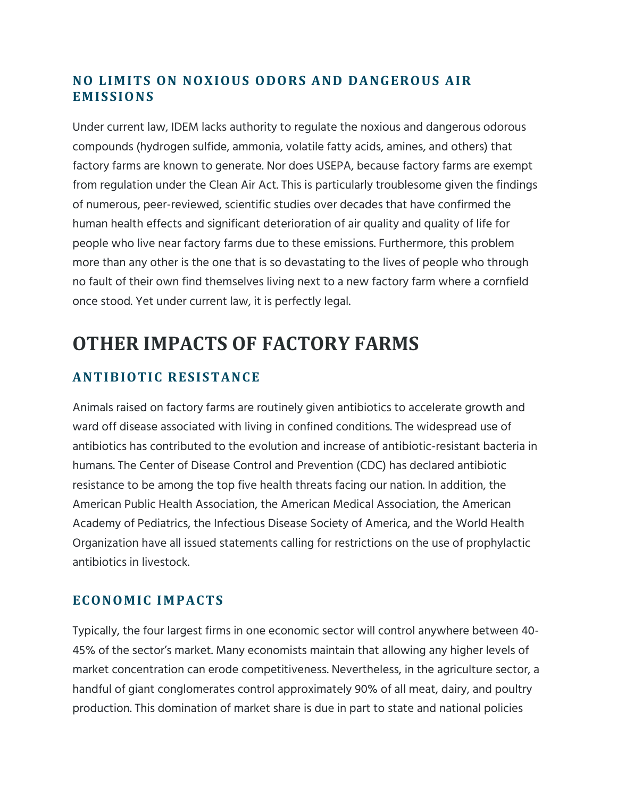### **NO LIMITS ON NOXIOUS ODORS AND DANGEROUS AIR EMISSIONS**

Under current law, IDEM lacks authority to regulate the noxious and dangerous odorous compounds (hydrogen sulfide, ammonia, volatile fatty acids, amines, and others) that factory farms are known to generate. Nor does USEPA, because factory farms are exempt from regulation under the Clean Air Act. This is particularly troublesome given the findings of numerous, peer-reviewed, scientific studies over decades that have confirmed the human health effects and significant deterioration of air quality and quality of life for people who live near factory farms due to these emissions. Furthermore, this problem more than any other is the one that is so devastating to the lives of people who through no fault of their own find themselves living next to a new factory farm where a cornfield once stood. Yet under current law, it is perfectly legal.

# **OTHER IMPACTS OF FACTORY FARMS**

## **ANTIBIOTIC RESISTANCE**

Animals raised on factory farms are routinely given antibiotics to accelerate growth and ward off disease associated with living in confined conditions. The widespread use of antibiotics has contributed to the evolution and increase of antibiotic-resistant bacteria in humans. The Center of Disease Control and Prevention (CDC) has declared antibiotic resistance to be among the top five health threats facing our nation. In addition, the American Public Health Association, the American Medical Association, the American Academy of Pediatrics, the Infectious Disease Society of America, and the World Health Organization have all issued statements calling for restrictions on the use of prophylactic antibiotics in livestock.

#### **ECONOMIC IMPACTS**

Typically, the four largest firms in one economic sector will control anywhere between 40- 45% of the sector's market. Many economists maintain that allowing any higher levels of market concentration can erode competitiveness. Nevertheless, in the agriculture sector, a handful of giant conglomerates control approximately 90% of all meat, dairy, and poultry production. This domination of market share is due in part to state and national policies